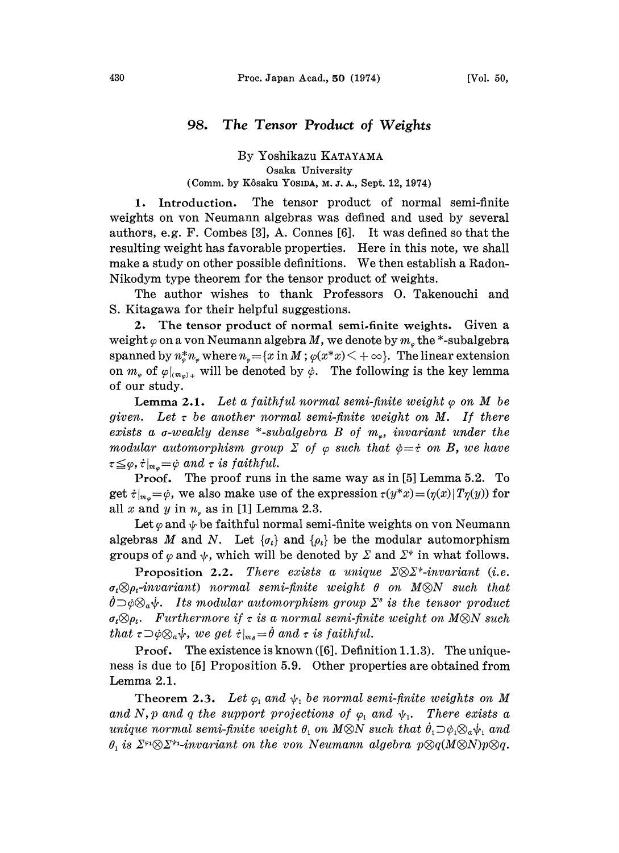## 98. The Tensor Product of Weights

## By Yoshikazu KATAYAMA Osaka University (Comm. by K6saku YOSIDA, M. J, A., Sept. 12, 1974)

1. Introduction. The tensor product of normal semi-finite weights on von Neumann algebras was defined and used by several authors, e.g.F. Combes [3], A. Connes [6]. It was defined so that the resulting weight has favorable properties. Here in this note, we shall make <sup>a</sup> study on other possible definitions. We then establish <sup>a</sup> Radon-Nikodym type theorem for the tensor product of weights.

The author wishes to thank Professors O. Takenouchi and S. Kitagawa for their helpful suggestions.

2. The tensor product of normal semi.finite weights. Given a weight  $\varphi$  on a von Neumann algebra M, we denote by  $m_e$  the \*-subalgebra spanned by  $n_*^* n_*$  where  $n_* = {x \text{ in } M$ ;  $\varphi(x^*x) < +\infty}$ . The linear extension on  $m_{\varphi}$  of  $\varphi|_{(m_{\varphi})_{+}}$  will be denoted by  $\varphi$ . The following is the key lemma of our study.

**Lemma 2.1.** Let a faithful normal semi-finite weight  $\varphi$  on M be given. Let  $\tau$  be another normal semi-finite weight on M. If there exists a  $\sigma$ -weakly dense \*-subalgebra B of  $m_{\varphi}$ , invariant under the modular automorphism group  $\Sigma$  of  $\varphi$  such that  $\varphi = \dot{\tau}$  on B, we have  $\tau \leq \varphi, \dot{\tau}|_{m_{\varphi}} = \dot{\varphi}$  and  $\tau$  is faithful.

Proof. The proof runs in the same way as ia [5] Lemma 5.2. To get  $\dot{\tau}|_{m_p}=\dot{\varphi}$ , we also make use of the expression  $\tau(y^*x)=(\eta(x)|T\eta(y))$  for all x and y in  $n_e$  as in [1] Lemma 2.3.

Let  $\varphi$  and  $\psi$  be faithful normal semi-finite weights on yon Neumann algebras M and N. Let  $\{\sigma_t\}$  and  $\{\rho_t\}$  be the modular automorphism groups of  $\varphi$  and  $\psi$ , which will be denoted by  $\Sigma$  and  $\Sigma^*$  in what follows.

Proposition 2.2. There exists a unique  $\Sigma \otimes \Sigma^*$ -invariant (i.e.  $\sigma_t \otimes \rho_t$ -invariant) normal semi-finite weight  $\theta$  on  $M \otimes N$  such that  $\dot{\theta} \supset \dot{\phi} \otimes_a \dot{\psi}$ . Its modular automorphism group  $\Sigma^{\theta}$  is the tensor product  $\sigma_t \otimes \rho_t$ . Furthermore if  $\tau$  is a normal semi-finite weight on M $\otimes N$  such that  $\tau\supset\varphi\otimes_\alpha\psi$ , we get  $\tau|_{m_\theta}=\theta$  and  $\tau$  is faithful.

Proof. The existence is known ([6]. Definition 1.1.3). The uniqueness is due to [5] Proposition 5.9. Other properties are obtained from Lemma 2.1.

Theorem 2.3. Let  $\varphi_1$  and  $\psi_1$  be normal semi-finite weights on M and N, p and q the support projections of  $\varphi_1$  and  $\psi_1$ . There exists a unique normal semi-finite weight  $\theta_1$  on M\&N such that  $\dot{\theta}_1 \supset \dot{\varphi}_1 \otimes_a \dot{\psi}_1$  and  $\theta_1$  is  $\Sigma^{\varphi_1}\otimes \Sigma^{\varphi_1}$ -invariant on the von Neumann algebra  $p\otimes q(M\otimes N)p\otimes q$ .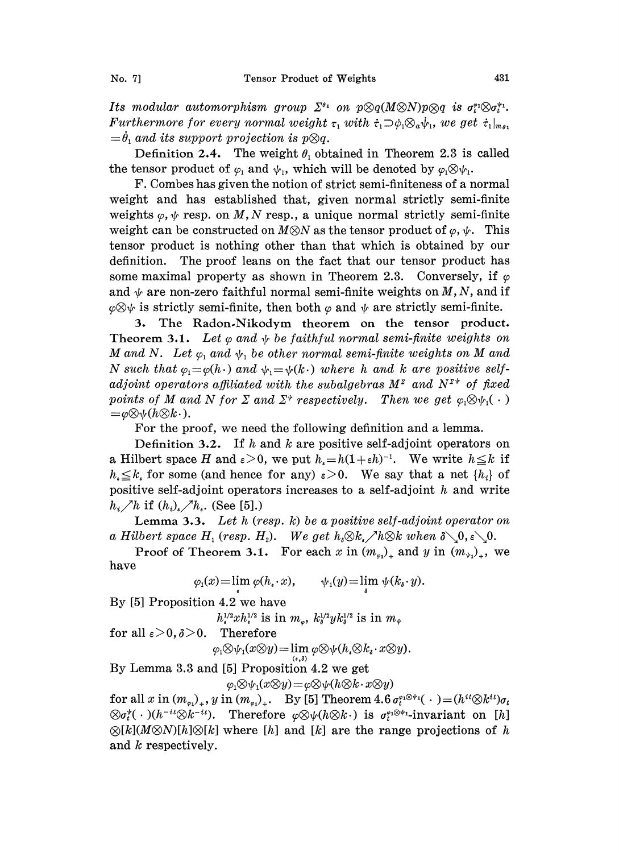Its modular automorphism group  $\Sigma^{q_1}$  on  $p \otimes q(M \otimes N)p \otimes q$  is  $\sigma_t^{q_1} \otimes \sigma_t^{q_1}$ . Furthermore for every normal weight  $\tau_1$  with  $\dot{\tau}_1 \supset \dot{\varphi}_1 \otimes_a \dot{\psi}_1$ , we get  $\dot{\tau}_1|_{m_{\theta_1}}$  $=\dot{\theta}$ , and its support projection is p $\otimes q$ .

Definition 2.4. The weight  $\theta_1$  obtained in Theorem 2.3 is called the tensor product of  $\varphi_1$  and  $\psi_1$ , which will be denoted by  $\varphi_1 \otimes \psi_1$ .

F. Combes has given the notion of strict semi-finiteness of a normal weight and has established that, given normal strictly semi-finite weights  $\varphi, \psi$  resp. on M, N resp., a unique normal strictly semi-finite weight can be constructed on  $M \otimes N$  as the tensor product of  $\varphi, \psi$ . This tensor product is nothing other than that which is obtained by our definition. The proof leans on the fact that our tensor product has some maximal property as shown in Theorem 2.3. Conversely, if  $\varphi$ and  $\psi$  are non-zero faithful normal semi-finite weights on M, N, and i<br>  $\varphi \otimes \psi$  is strictly semi-finite, then both  $\varphi$  and  $\psi$  are strictly semi-finite.<br> **3** The Bodon Nikodym, theorem, on the tensor, product  $\varphi \otimes \psi$  is strictly semi-finite, then both  $\varphi$  and  $\psi$  are strictly semi-finite.<br>3. The Radon-Nikodym theorem on the tensor product.

Theorem 3.1. Let  $\varphi$  and  $\psi$  be faithful normal semi-finite weights on M and N. Let  $\varphi_1$  and  $\psi_1$  be other normal semi-finite weights on M and N such that  $\varphi_1 = \varphi(h \cdot)$  and  $\psi_1 = \psi(k \cdot)$  where h and k are positive self-<br>adjoint operators affiliated with the subalgebras  $M^z$  and  $N^{z*}$  of fixed<br>points of M and N for  $\Sigma$  and  $\Sigma^*$  respectively. Then we get adjoint operators affiliated with the subalgebras  $M^z$  and  $N^{z*}$  of fixed points of M and N for  $\Sigma$  and  $\Sigma^*$  respectively. Then we get  $\varphi_1 \otimes \psi_1(\cdot) = \varphi \otimes \psi(h \otimes k \cdot)$ .

For the proof, we need the following definition and a lemma.

Definition 3.2. If h and h are positive self-adjoint operators on a Hilbert space H and  $\epsilon > 0$ , we put  $h_{\epsilon} = h(1+\epsilon h)^{-1}$ . We write  $h \leq k$  if  $h_{\epsilon} \leq k_{\epsilon}$  for some (and hence for any)  $\epsilon > 0$ . We say that a net  $\{h_i\}$  of positive self-adjoint operators increases to a self-adjoint  $h$  and write  $h_i\nearrow h$  if  $(h_i)_\ast\nearrow h_\ast$ . (See [5].)

Lemma 3.3. Let h (resp.  $k$ ) be a positive self-adjoint operator on a Hilbert space  $H_1$  (resp.  $H_2$ ). We get  $h_i \otimes k_i \nearrow h \otimes k$  when  $\delta \setminus 0, \epsilon \setminus 0$ .

Proof of Theorem 3.1. For each x in  $(m_{\nu_1})_+$  and y in  $(m_{\nu_1})_+$ , we have

 $\varphi_1(x) = \lim_{\epsilon} \varphi(h_{\epsilon} \cdot x), \qquad \psi_1(y) = \lim_{\delta} \psi(k_{\delta} \cdot y).$ 

By [5] Proposition 4.2 we have

 $h_{\epsilon}^{1/2} x h_{\epsilon}^{1/2}$  is in  $m_{\epsilon}$ ,  $k_{\epsilon}^{1/2} y k_{\epsilon}^{1/2}$  is in  $m_{\epsilon}$ for all  $\varepsilon > 0$ ,  $\delta > 0$ . Therefore

 $\varphi_1 \otimes \psi_1(x \otimes y) = \lim \varphi \otimes \psi(h_* \otimes k_* \cdot x \otimes y).$ 

$$
(\epsilon,\delta)
$$

By Lemma 3.3 and [5] Proposition 4.2 we get

 $\varphi_1 \otimes \psi_1(x \otimes y) = \varphi \otimes \psi(h \otimes k \cdot x \otimes y)$ 

for all  $x$  in  $(m_{\varepsilon_1})_*, y$  in  $(m_{\varepsilon_2})_*$ . By [5] Theorem  $4.6 \sigma_t^{\varepsilon_1 \otimes \psi_1}(\cdot) = (h^{it} \otimes h^{it}) \sigma_t$  $\otimes \sigma_t^*(\cdot) (h^{-it} \otimes k^{-it})$ . Therefore  $\varphi \otimes \psi(h \otimes k \cdot)$  is  $\sigma_t^{\varphi_1 \otimes \psi_1}$ -invariant on [h]  $\varphi[k](M\varphi N)[h]\varphi[k]$  where [h] and [k] are the range projections of h and k respectively.